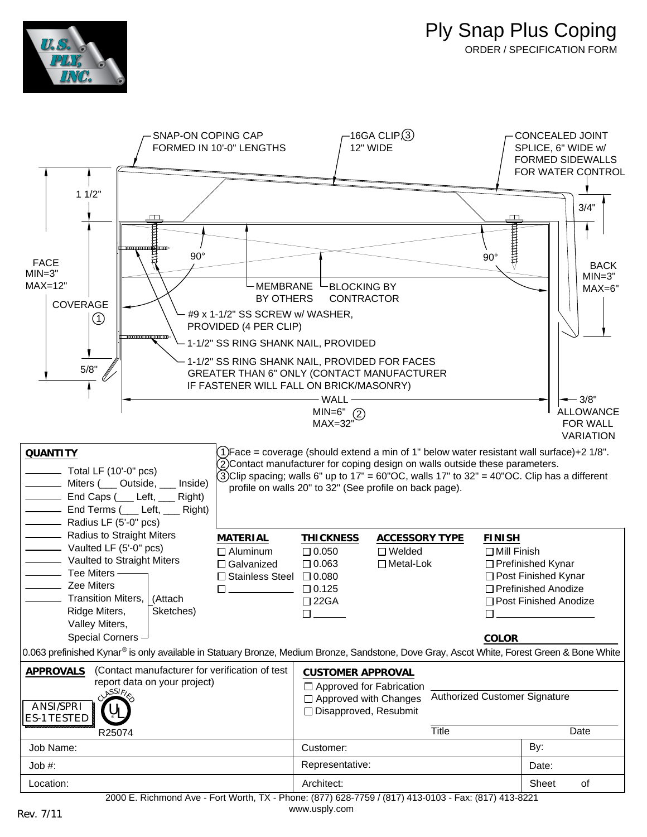